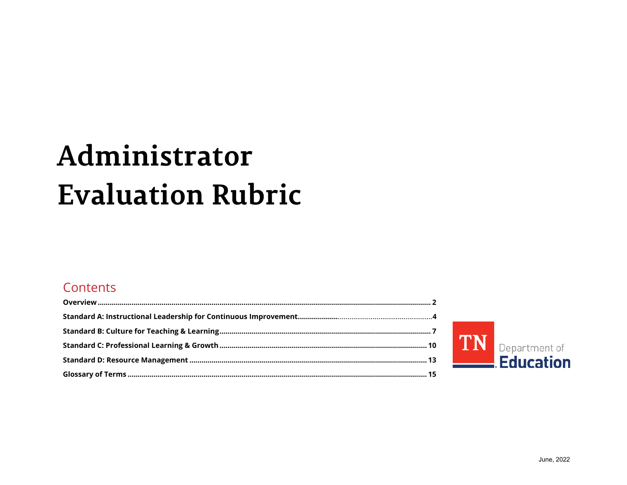# Administrator **Evaluation Rubric**

## Contents

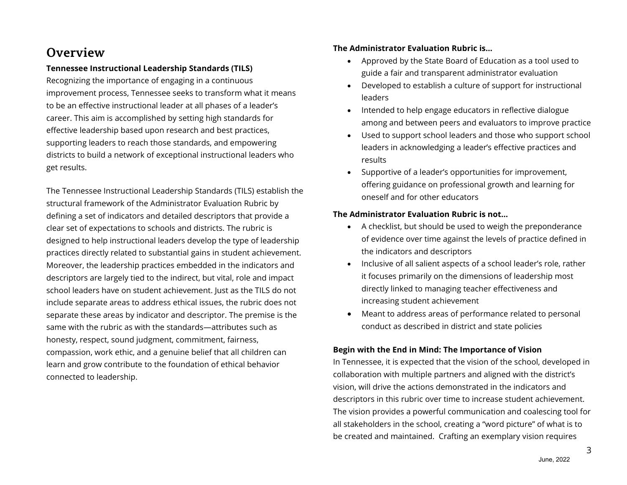## **Overview**

### **Tennessee Instructional Leadership Standards (TILS)**

Recognizing the importance of engaging in a continuous improvement process, Tennessee seeks to transform what it means to be an effective instructional leader at all phases of a leader's career. This aim is accomplished by setting high standards for effective leadership based upon research and best practices, supporting leaders to reach those standards, and empowering districts to build a network of exceptional instructional leaders who get results.

The Tennessee Instructional Leadership Standards (TILS) establish the structural framework of the Administrator Evaluation Rubric by defining a set of indicators and detailed descriptors that provide a clear set of expectations to schools and districts. The rubric is designed to help instructional leaders develop the type of leadership practices directly related to substantial gains in student achievement. Moreover, the leadership practices embedded in the indicators and descriptors are largely tied to the indirect, but vital, role and impact school leaders have on student achievement. Just as the TILS do not include separate areas to address ethical issues, the rubric does not separate these areas by indicator and descriptor. The premise is the same with the rubric as with the standards—attributes such as honesty, respect, sound judgment, commitment, fairness, compassion, work ethic, and a genuine belief that all children can learn and grow contribute to the foundation of ethical behavior connected to leadership.

### **The Administrator Evaluation Rubric is…**

- Approved by the State Board of Education as a tool used to guide a fair and transparent administrator evaluation
- Developed to establish a culture of support for instructional leaders
- Intended to help engage educators in reflective dialogue among and between peers and evaluators to improve practice
- Used to support school leaders and those who support school leaders in acknowledging a leader's effective practices and results
- Supportive of a leader's opportunities for improvement, offering guidance on professional growth and learning for oneself and for other educators

### **The Administrator Evaluation Rubric is not…**

- A checklist, but should be used to weigh the preponderance of evidence over time against the levels of practice defined in the indicators and descriptors
- Inclusive of all salient aspects of a school leader's role, rather it focuses primarily on the dimensions of leadership most directly linked to managing teacher effectiveness and increasing student achievement
- Meant to address areas of performance related to personal conduct as described in district and state policies

## **Begin with the End in Mind: The Importance of Vision**

In Tennessee, it is expected that the vision of the school, developed in collaboration with multiple partners and aligned with the district's vision, will drive the actions demonstrated in the indicators and descriptors in this rubric over time to increase student achievement. The vision provides a powerful communication and coalescing tool for all stakeholders in the school, creating a "word picture" of what is to be created and maintained. Crafting an exemplary vision requires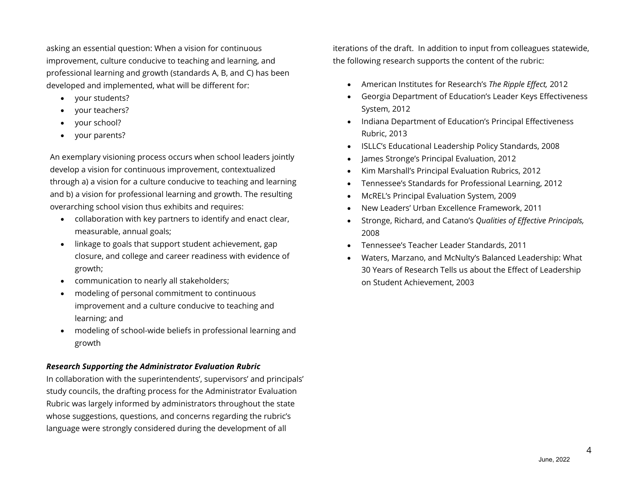asking an essential question: When a vision for continuous improvement, culture conducive to teaching and learning, and professional learning and growth (standards A, B, and C) has been developed and implemented, what will be different for:

- your students?
- your teachers?
- your school?
- your parents?

An exemplary visioning process occurs when school leaders jointly develop a vision for continuous improvement, contextualized through a) a vision for a culture conducive to teaching and learning and b) a vision for professional learning and growth. The resulting overarching school vision thus exhibits and requires:

- collaboration with key partners to identify and enact clear, measurable, annual goals;
- linkage to goals that support student achievement, gap closure, and college and career readiness with evidence of growth;
- communication to nearly all stakeholders;
- modeling of personal commitment to continuous improvement and a culture conducive to teaching and learning; and
- modeling of school-wide beliefs in professional learning and growth

## *Research Supporting the Administrator Evaluation Rubric*

In collaboration with the superintendents', supervisors' and principals' study councils, the drafting process for the Administrator Evaluation Rubric was largely informed by administrators throughout the state whose suggestions, questions, and concerns regarding the rubric's language were strongly considered during the development of all

iterations of the draft. In addition to input from colleagues statewide, the following research supports the content of the rubric:

- American Institutes for Research's *The Ripple Effect,* 2012
- Georgia Department of Education's Leader Keys Effectiveness System, 2012
- Indiana Department of Education's Principal Effectiveness Rubric, 2013
- ISLLC's Educational Leadership Policy Standards, 2008
- James Stronge's Principal Evaluation, 2012
- Kim Marshall's Principal Evaluation Rubrics, 2012
- Tennessee's Standards for Professional Learning, 2012
- McREL's Principal Evaluation System, 2009
- New Leaders' Urban Excellence Framework, 2011
- Stronge, Richard, and Catano's *Qualities of Effective Principals,* 2008
- Tennessee's Teacher Leader Standards, 2011
- Waters, Marzano, and McNulty's Balanced Leadership: What 30 Years of Research Tells us about the Effect of Leadership on Student Achievement, 2003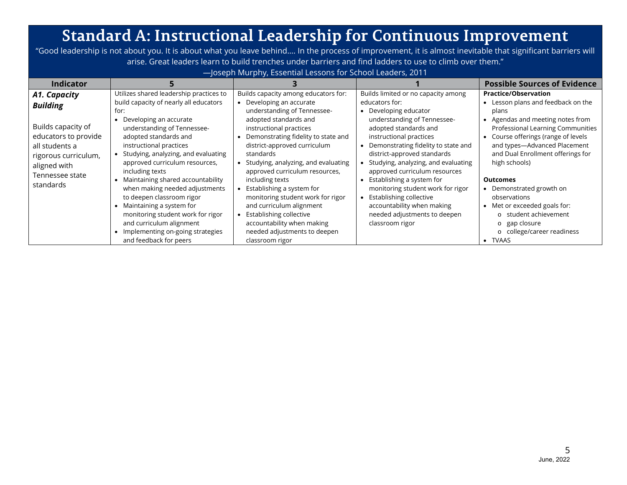## **Standard A: Instructional Leadership for Continuous Improvement**

"Good leadership is not about you. It is about what you leave behind…. In the process of improvement, it is almost inevitable that significant barriers will arise. Great leaders learn to build trenches under barriers and find ladders to use to climb over them."

—Joseph Murphy, Essential Lessons for School Leaders, 2011

| <b>Indicator</b>                                                                                                                                                        |                                                                                                                                                                                                                                                                                                                                                                                                                                                                         |                                                                                                                                                                                                                                                                                                                                                                                                                                                            |                                                                                                                                                                                                                                                                                                                                                                                                                                                                          | <b>Possible Sources of Evidence</b>                                                                                                                                                                                                                                                                                                                                                            |
|-------------------------------------------------------------------------------------------------------------------------------------------------------------------------|-------------------------------------------------------------------------------------------------------------------------------------------------------------------------------------------------------------------------------------------------------------------------------------------------------------------------------------------------------------------------------------------------------------------------------------------------------------------------|------------------------------------------------------------------------------------------------------------------------------------------------------------------------------------------------------------------------------------------------------------------------------------------------------------------------------------------------------------------------------------------------------------------------------------------------------------|--------------------------------------------------------------------------------------------------------------------------------------------------------------------------------------------------------------------------------------------------------------------------------------------------------------------------------------------------------------------------------------------------------------------------------------------------------------------------|------------------------------------------------------------------------------------------------------------------------------------------------------------------------------------------------------------------------------------------------------------------------------------------------------------------------------------------------------------------------------------------------|
| A1. Capacity<br><b>Building</b><br>Builds capacity of<br>educators to provide<br>all students a<br>rigorous curriculum,<br>aligned with<br>Tennessee state<br>standards | Utilizes shared leadership practices to<br>build capacity of nearly all educators<br>for:<br>Developing an accurate<br>understanding of Tennessee-<br>adopted standards and<br>instructional practices<br>Studying, analyzing, and evaluating<br>approved curriculum resources,<br>including texts<br>Maintaining shared accountability<br>when making needed adjustments<br>to deepen classroom rigor<br>Maintaining a system for<br>monitoring student work for rigor | Builds capacity among educators for:<br>Developing an accurate<br>understanding of Tennessee-<br>adopted standards and<br>instructional practices<br>Demonstrating fidelity to state and<br>district-approved curriculum<br>standards<br>Studying, analyzing, and evaluating<br>approved curriculum resources,<br>including texts<br>Establishing a system for<br>monitoring student work for rigor<br>and curriculum alignment<br>Establishing collective | Builds limited or no capacity among<br>educators for:<br>Developing educator<br>understanding of Tennessee-<br>adopted standards and<br>instructional practices<br>Demonstrating fidelity to state and<br>district-approved standards<br>Studying, analyzing, and evaluating<br>approved curriculum resources<br>Establishing a system for<br>monitoring student work for rigor<br>Establishing collective<br>accountability when making<br>needed adjustments to deepen | <b>Practice/Observation</b><br>Lesson plans and feedback on the<br>plans<br>Agendas and meeting notes from<br>Professional Learning Communities<br>Course offerings (range of levels<br>and types-Advanced Placement<br>and Dual Enrollment offerings for<br>high schools)<br><b>Outcomes</b><br>Demonstrated growth on<br>observations<br>Met or exceeded goals for:<br>o student achievement |
|                                                                                                                                                                         | and curriculum alignment<br>Implementing on-going strategies<br>and feedback for peers                                                                                                                                                                                                                                                                                                                                                                                  | accountability when making<br>needed adjustments to deepen<br>classroom rigor                                                                                                                                                                                                                                                                                                                                                                              | classroom rigor                                                                                                                                                                                                                                                                                                                                                                                                                                                          | gap closure<br>O<br>college/career readiness<br>O<br>TVAAS<br>$\bullet$                                                                                                                                                                                                                                                                                                                        |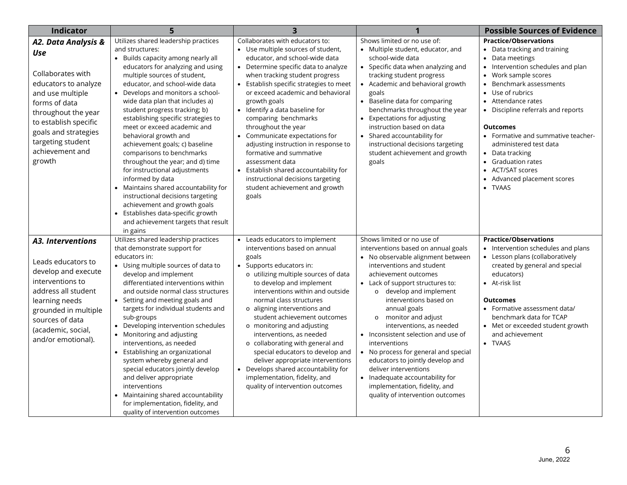| <b>Indicator</b>                                                                                                                                                                                                                       |                                                                                                                                                                                                                                                                                                                                                                                                                                                                                                                                                                                                                                                                                                                                                                                                 |                                                                                                                                                                                                                                                                                                                                                                                                                                                                                                                                                                                                                              |                                                                                                                                                                                                                                                                                                                                                                                                                                                                                                                                                                                                    | <b>Possible Sources of Evidence</b>                                                                                                                                                                                                                                                                                                                                                                                                                                                                                                         |
|----------------------------------------------------------------------------------------------------------------------------------------------------------------------------------------------------------------------------------------|-------------------------------------------------------------------------------------------------------------------------------------------------------------------------------------------------------------------------------------------------------------------------------------------------------------------------------------------------------------------------------------------------------------------------------------------------------------------------------------------------------------------------------------------------------------------------------------------------------------------------------------------------------------------------------------------------------------------------------------------------------------------------------------------------|------------------------------------------------------------------------------------------------------------------------------------------------------------------------------------------------------------------------------------------------------------------------------------------------------------------------------------------------------------------------------------------------------------------------------------------------------------------------------------------------------------------------------------------------------------------------------------------------------------------------------|----------------------------------------------------------------------------------------------------------------------------------------------------------------------------------------------------------------------------------------------------------------------------------------------------------------------------------------------------------------------------------------------------------------------------------------------------------------------------------------------------------------------------------------------------------------------------------------------------|---------------------------------------------------------------------------------------------------------------------------------------------------------------------------------------------------------------------------------------------------------------------------------------------------------------------------------------------------------------------------------------------------------------------------------------------------------------------------------------------------------------------------------------------|
| A2. Data Analysis &<br>Use<br>Collaborates with<br>educators to analyze<br>and use multiple<br>forms of data<br>throughout the year<br>to establish specific<br>goals and strategies<br>targeting student<br>achievement and<br>growth | Utilizes shared leadership practices<br>and structures:<br>• Builds capacity among nearly all<br>educators for analyzing and using<br>multiple sources of student,<br>educator, and school-wide data<br>Develops and monitors a school-<br>$\bullet$<br>wide data plan that includes a)<br>student progress tracking; b)<br>establishing specific strategies to<br>meet or exceed academic and<br>behavioral growth and<br>achievement goals; c) baseline<br>comparisons to benchmarks<br>throughout the year; and d) time<br>for instructional adjustments<br>informed by data<br>Maintains shared accountability for<br>instructional decisions targeting<br>achievement and growth goals<br>Establishes data-specific growth<br>$\bullet$<br>and achievement targets that result<br>in gains | Collaborates with educators to:<br>• Use multiple sources of student,<br>educator, and school-wide data<br>Determine specific data to analyze<br>when tracking student progress<br>• Establish specific strategies to meet<br>or exceed academic and behavioral<br>growth goals<br>• Identify a data baseline for<br>comparing benchmarks<br>throughout the year<br>• Communicate expectations for<br>adjusting instruction in response to<br>formative and summative<br>assessment data<br>Establish shared accountability for<br>$\bullet$<br>instructional decisions targeting<br>student achievement and growth<br>goals | Shows limited or no use of:<br>• Multiple student, educator, and<br>school-wide data<br>• Specific data when analyzing and<br>tracking student progress<br>Academic and behavioral growth<br>goals<br>Baseline data for comparing<br>benchmarks throughout the year<br><b>Expectations for adjusting</b><br>instruction based on data<br>Shared accountability for<br>instructional decisions targeting<br>student achievement and growth<br>goals                                                                                                                                                 | <b>Practice/Observations</b><br>Data tracking and training<br>Data meetings<br>$\bullet$<br>Intervention schedules and plan<br>$\bullet$<br>Work sample scores<br>$\bullet$<br>Benchmark assessments<br>$\bullet$<br>Use of rubrics<br>$\bullet$<br>Attendance rates<br>• Discipline referrals and reports<br><b>Outcomes</b><br>• Formative and summative teacher-<br>administered test data<br>• Data tracking<br><b>Graduation rates</b><br><b>ACT/SAT scores</b><br>$\bullet$<br>Advanced placement scores<br>$\bullet$<br><b>TVAAS</b> |
| A3. Interventions<br>Leads educators to<br>develop and execute<br>interventions to<br>address all student<br>learning needs<br>grounded in multiple<br>sources of data<br>(academic, social,<br>and/or emotional).                     | Utilizes shared leadership practices<br>that demonstrate support for<br>educators in:<br>• Using multiple sources of data to<br>develop and implement<br>differentiated interventions within<br>and outside normal class structures<br>• Setting and meeting goals and<br>targets for individual students and<br>sub-groups<br>• Developing intervention schedules<br>• Monitoring and adjusting<br>interventions, as needed<br>• Establishing an organizational<br>system whereby general and<br>special educators jointly develop<br>and deliver appropriate<br>interventions<br>• Maintaining shared accountability<br>for implementation, fidelity, and<br>quality of intervention outcomes                                                                                                 | • Leads educators to implement<br>interventions based on annual<br>goals<br>• Supports educators in:<br>o utilizing multiple sources of data<br>to develop and implement<br>interventions within and outside<br>normal class structures<br>o aligning interventions and<br>student achievement outcomes<br>o monitoring and adjusting<br>interventions, as needed<br>o collaborating with general and<br>special educators to develop and<br>deliver appropriate interventions<br>• Develops shared accountability for<br>implementation, fidelity, and<br>quality of intervention outcomes                                  | Shows limited or no use of<br>interventions based on annual goals<br>• No observable alignment between<br>interventions and student<br>achievement outcomes<br>• Lack of support structures to:<br>o develop and implement<br>interventions based on<br>annual goals<br>monitor and adjust<br>$\circ$<br>interventions, as needed<br>• Inconsistent selection and use of<br>interventions<br>No process for general and special<br>educators to jointly develop and<br>deliver interventions<br>Inadequate accountability for<br>implementation, fidelity, and<br>quality of intervention outcomes | <b>Practice/Observations</b><br>• Intervention schedules and plans<br>• Lesson plans (collaboratively<br>created by general and special<br>educators)<br>• At-risk list<br><b>Outcomes</b><br>• Formative assessment data/<br>benchmark data for TCAP<br>• Met or exceeded student growth<br>and achievement<br>• TVAAS                                                                                                                                                                                                                     |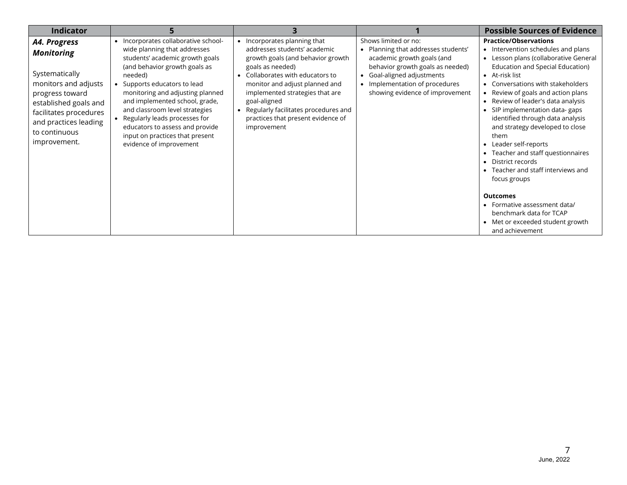| <b>Indicator</b>                                                                                                                                                                                            |                                                                                                                                                                                                                                                                                                                                                                                                                           |                                                                                                                                                                                                                                                                                                                                           |                                                                                                                                                                                                                              | <b>Possible Sources of Evidence</b>                                                                                                                                                                                                                                                                                                                                                                                                                                                                                                                                                                          |
|-------------------------------------------------------------------------------------------------------------------------------------------------------------------------------------------------------------|---------------------------------------------------------------------------------------------------------------------------------------------------------------------------------------------------------------------------------------------------------------------------------------------------------------------------------------------------------------------------------------------------------------------------|-------------------------------------------------------------------------------------------------------------------------------------------------------------------------------------------------------------------------------------------------------------------------------------------------------------------------------------------|------------------------------------------------------------------------------------------------------------------------------------------------------------------------------------------------------------------------------|--------------------------------------------------------------------------------------------------------------------------------------------------------------------------------------------------------------------------------------------------------------------------------------------------------------------------------------------------------------------------------------------------------------------------------------------------------------------------------------------------------------------------------------------------------------------------------------------------------------|
| A4. Progress<br><b>Monitoring</b><br>Systematically<br>monitors and adjusts<br>progress toward<br>established goals and<br>facilitates procedures<br>and practices leading<br>to continuous<br>improvement. | Incorporates collaborative school-<br>wide planning that addresses<br>students' academic growth goals<br>(and behavior growth goals as<br>needed)<br>Supports educators to lead<br>monitoring and adjusting planned<br>and implemented school, grade,<br>and classroom level strategies<br>Regularly leads processes for<br>educators to assess and provide<br>input on practices that present<br>evidence of improvement | • Incorporates planning that<br>addresses students' academic<br>growth goals (and behavior growth<br>goals as needed)<br>Collaborates with educators to<br>monitor and adjust planned and<br>implemented strategies that are<br>goal-aligned<br>Regularly facilitates procedures and<br>practices that present evidence of<br>improvement | Shows limited or no:<br>Planning that addresses students'<br>academic growth goals (and<br>behavior growth goals as needed)<br>Goal-aligned adjustments<br>• Implementation of procedures<br>showing evidence of improvement | <b>Practice/Observations</b><br>• Intervention schedules and plans<br>Lesson plans (collaborative General<br>$\bullet$<br>Education and Special Education)<br>• At-risk list<br>Conversations with stakeholders<br>Review of goals and action plans<br>Review of leader's data analysis<br>$\bullet$<br>SIP implementation data-gaps<br>$\bullet$<br>identified through data analysis<br>and strategy developed to close<br>them<br>• Leader self-reports<br>Teacher and staff questionnaires<br>$\bullet$<br>District records<br>$\bullet$<br>Teacher and staff interviews and<br>$\bullet$<br>focus groups |
|                                                                                                                                                                                                             |                                                                                                                                                                                                                                                                                                                                                                                                                           |                                                                                                                                                                                                                                                                                                                                           |                                                                                                                                                                                                                              | <b>Outcomes</b><br>Formative assessment data/<br>٠<br>benchmark data for TCAP<br>Met or exceeded student growth<br>$\bullet$<br>and achievement                                                                                                                                                                                                                                                                                                                                                                                                                                                              |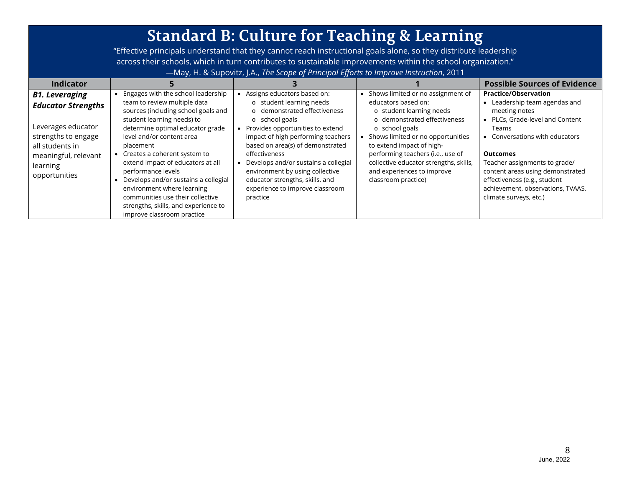#### **Standard B: Culture for Teaching & Learning** "Effective principals understand that they cannot reach instructional goals alone, so they distribute leadership across their schools, which in turn contributes to sustainable improvements within the school organization." —May, H. & Supovitz, J.A., *The Scope of Principal Efforts to Improve Instruction*, 2011 **Indicator 5 3 1 Possible Sources of Evidence** *B1. Leveraging Educator Strengths* Leverages educator strengths to engage all students in meaningful, relevant learning opportunities • Engages with the school leadership team to review multiple data sources (including school goals and student learning needs) to determine optimal educator grade level and/or content area placement • Creates a coherent system to extend impact of educators at all performance levels • Develops and/or sustains a collegial environment where learning communities use their collective strengths, skills, and experience to improve classroom practice • Assigns educators based on: o student learning needs o demonstrated effectiveness o school goals • Provides opportunities to extend impact of high performing teachers based on area(s) of demonstrated effectiveness • Develops and/or sustains a collegial environment by using collective educator strengths, skills, and experience to improve classroom practice • Shows limited or no assignment of educators based on: o student learning needs o demonstrated effectiveness o school goals • Shows limited or no opportunities to extend impact of highperforming teachers (i.e., use of collective educator strengths, skills, and experiences to improve classroom practice) **Practice/Observation** • Leadership team agendas and meeting notes • PLCs, Grade-level and Content Teams • Conversations with educators **Outcomes** Teacher assignments to grade/ content areas using demonstrated effectiveness (e.g., student achievement, observations, TVAAS, climate surveys, etc.)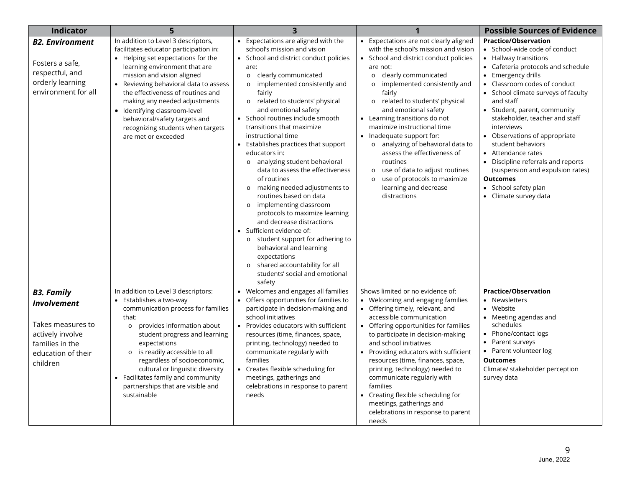| <b>Indicator</b>                                                                                                                      |                                                                                                                                                                                                                                                                                                                                                                                                                                 | $\overline{3}$                                                                                                                                                                                                                                                                                                                                                                                                                                                                                                                                                                                                                                                                                                                                                                                                                                                                             | 1                                                                                                                                                                                                                                                                                                                                                                                                                                                                                                                                                                                 | <b>Possible Sources of Evidence</b>                                                                                                                                                                                                                                                                                                                                                                                                                                                                                                                   |
|---------------------------------------------------------------------------------------------------------------------------------------|---------------------------------------------------------------------------------------------------------------------------------------------------------------------------------------------------------------------------------------------------------------------------------------------------------------------------------------------------------------------------------------------------------------------------------|--------------------------------------------------------------------------------------------------------------------------------------------------------------------------------------------------------------------------------------------------------------------------------------------------------------------------------------------------------------------------------------------------------------------------------------------------------------------------------------------------------------------------------------------------------------------------------------------------------------------------------------------------------------------------------------------------------------------------------------------------------------------------------------------------------------------------------------------------------------------------------------------|-----------------------------------------------------------------------------------------------------------------------------------------------------------------------------------------------------------------------------------------------------------------------------------------------------------------------------------------------------------------------------------------------------------------------------------------------------------------------------------------------------------------------------------------------------------------------------------|-------------------------------------------------------------------------------------------------------------------------------------------------------------------------------------------------------------------------------------------------------------------------------------------------------------------------------------------------------------------------------------------------------------------------------------------------------------------------------------------------------------------------------------------------------|
| <b>B2. Environment</b><br>Fosters a safe,<br>respectful, and<br>orderly learning<br>environment for all                               | In addition to Level 3 descriptors,<br>facilitates educator participation in:<br>• Helping set expectations for the<br>learning environment that are<br>mission and vision aligned<br>• Reviewing behavioral data to assess<br>the effectiveness of routines and<br>making any needed adjustments<br>· Identifying classroom-level<br>behavioral/safety targets and<br>recognizing students when targets<br>are met or exceeded | • Expectations are aligned with the<br>school's mission and vision<br>• School and district conduct policies<br>are:<br>clearly communicated<br>$\circ$<br>implemented consistently and<br>$\circ$<br>fairly<br>related to students' physical<br>$\circ$<br>and emotional safety<br>• School routines include smooth<br>transitions that maximize<br>instructional time<br>• Establishes practices that support<br>educators in:<br>o analyzing student behavioral<br>data to assess the effectiveness<br>of routines<br>o making needed adjustments to<br>routines based on data<br>implementing classroom<br>$\circ$<br>protocols to maximize learning<br>and decrease distractions<br>• Sufficient evidence of:<br>o student support for adhering to<br>behavioral and learning<br>expectations<br>shared accountability for all<br>$\circ$<br>students' social and emotional<br>safety | • Expectations are not clearly aligned<br>with the school's mission and vision<br>• School and district conduct policies<br>are not:<br>o clearly communicated<br>implemented consistently and<br>$\circ$<br>fairly<br>o related to students' physical<br>and emotional safety<br>• Learning transitions do not<br>maximize instructional time<br>• Inadequate support for:<br>o analyzing of behavioral data to<br>assess the effectiveness of<br>routines<br>use of data to adjust routines<br>$\circ$<br>use of protocols to maximize<br>learning and decrease<br>distractions | <b>Practice/Observation</b><br>School-wide code of conduct<br>• Hallway transitions<br>Cafeteria protocols and schedule<br>Emergency drills<br>$\bullet$<br>Classroom codes of conduct<br>School climate surveys of faculty<br>and staff<br>Student, parent, community<br>stakeholder, teacher and staff<br>interviews<br>Observations of appropriate<br>student behaviors<br>Attendance rates<br>Discipline referrals and reports<br>$\bullet$<br>(suspension and expulsion rates)<br><b>Outcomes</b><br>• School safety plan<br>Climate survey data |
| <b>B3. Family</b><br><b>Involvement</b><br>Takes measures to<br>actively involve<br>families in the<br>education of their<br>children | In addition to Level 3 descriptors:<br>Establishes a two-way<br>communication process for families<br>that:<br>provides information about<br>$\circ$<br>student progress and learning<br>expectations<br>is readily accessible to all<br>$\circ$<br>regardless of socioeconomic,<br>cultural or linguistic diversity<br>Facilitates family and community<br>partnerships that are visible and<br>sustainable                    | Welcomes and engages all families<br>Offers opportunities for families to<br>participate in decision-making and<br>school initiatives<br>• Provides educators with sufficient<br>resources (time, finances, space,<br>printing, technology) needed to<br>communicate regularly with<br>families<br>• Creates flexible scheduling for<br>meetings, gatherings and<br>celebrations in response to parent<br>needs                                                                                                                                                                                                                                                                                                                                                                                                                                                                            | Shows limited or no evidence of:<br>• Welcoming and engaging families<br>Offering timely, relevant, and<br>accessible communication<br>• Offering opportunities for families<br>to participate in decision-making<br>and school initiatives<br>• Providing educators with sufficient<br>resources (time, finances, space,<br>printing, technology) needed to<br>communicate regularly with<br>families<br>• Creating flexible scheduling for<br>meetings, gatherings and<br>celebrations in response to parent<br>needs                                                           | <b>Practice/Observation</b><br>• Newsletters<br>Website<br>Meeting agendas and<br>schedules<br>Phone/contact logs<br>Parent surveys<br>$\bullet$<br>Parent volunteer log<br><b>Outcomes</b><br>Climate/ stakeholder perception<br>survey data                                                                                                                                                                                                                                                                                                         |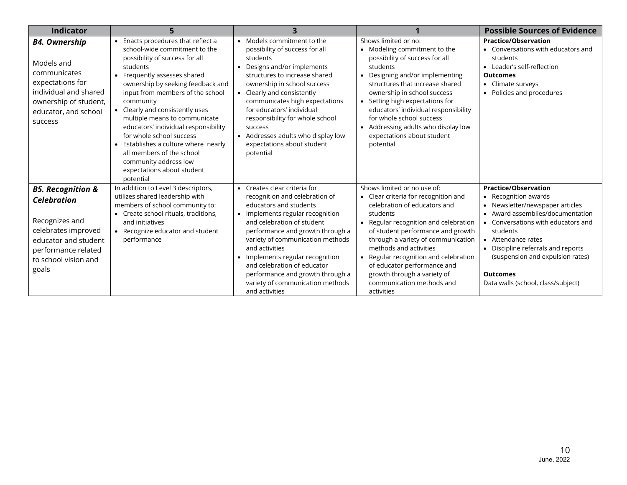| <b>Indicator</b>                                                                                                                                                            |                                                                                                                                                                                                                                                                                                                                                                                                                                                                                                                                     |                                                                                                                                                                                                                                                                                                                                                                                                                   |                                                                                                                                                                                                                                                                                                                                                                                                               | <b>Possible Sources of Evidence</b>                                                                                                                                                                                                                                                                                                                              |
|-----------------------------------------------------------------------------------------------------------------------------------------------------------------------------|-------------------------------------------------------------------------------------------------------------------------------------------------------------------------------------------------------------------------------------------------------------------------------------------------------------------------------------------------------------------------------------------------------------------------------------------------------------------------------------------------------------------------------------|-------------------------------------------------------------------------------------------------------------------------------------------------------------------------------------------------------------------------------------------------------------------------------------------------------------------------------------------------------------------------------------------------------------------|---------------------------------------------------------------------------------------------------------------------------------------------------------------------------------------------------------------------------------------------------------------------------------------------------------------------------------------------------------------------------------------------------------------|------------------------------------------------------------------------------------------------------------------------------------------------------------------------------------------------------------------------------------------------------------------------------------------------------------------------------------------------------------------|
| <b>B4. Ownership</b><br>Models and<br>communicates<br>expectations for<br>individual and shared<br>ownership of student,<br>educator, and school<br>success                 | Enacts procedures that reflect a<br>$\bullet$<br>school-wide commitment to the<br>possibility of success for all<br>students<br>• Frequently assesses shared<br>ownership by seeking feedback and<br>input from members of the school<br>community<br>• Clearly and consistently uses<br>multiple means to communicate<br>educators' individual responsibility<br>for whole school success<br>• Establishes a culture where nearly<br>all members of the school<br>community address low<br>expectations about student<br>potential | Models commitment to the<br>$\bullet$<br>possibility of success for all<br>students<br>Designs and/or implements<br>structures to increase shared<br>ownership in school success<br>• Clearly and consistently<br>communicates high expectations<br>for educators' individual<br>responsibility for whole school<br>success<br>• Addresses adults who display low<br>expectations about student<br>potential      | Shows limited or no:<br>• Modeling commitment to the<br>possibility of success for all<br>students<br>Designing and/or implementing<br>$\bullet$<br>structures that increase shared<br>ownership in school success<br>• Setting high expectations for<br>educators' individual responsibility<br>for whole school success<br>• Addressing adults who display low<br>expectations about student<br>potential   | <b>Practice/Observation</b><br>• Conversations with educators and<br>students<br>• Leader's self-reflection<br><b>Outcomes</b><br>Climate surveys<br>Policies and procedures                                                                                                                                                                                     |
| <b>B5. Recognition &amp;</b><br><b>Celebration</b><br>Recognizes and<br>celebrates improved<br>educator and student<br>performance related<br>to school vision and<br>goals | In addition to Level 3 descriptors,<br>utilizes shared leadership with<br>members of school community to:<br>• Create school rituals, traditions,<br>and initiatives<br>• Recognize educator and student<br>performance                                                                                                                                                                                                                                                                                                             | • Creates clear criteria for<br>recognition and celebration of<br>educators and students<br>• Implements regular recognition<br>and celebration of student<br>performance and growth through a<br>variety of communication methods<br>and activities<br>• Implements regular recognition<br>and celebration of educator<br>performance and growth through a<br>variety of communication methods<br>and activities | Shows limited or no use of:<br>• Clear criteria for recognition and<br>celebration of educators and<br>students<br>• Regular recognition and celebration<br>of student performance and growth<br>through a variety of communication<br>methods and activities<br>Regular recognition and celebration<br>of educator performance and<br>growth through a variety of<br>communication methods and<br>activities | <b>Practice/Observation</b><br>Recognition awards<br>$\bullet$<br>Newsletter/newspaper articles<br>Award assemblies/documentation<br>Conversations with educators and<br>$\bullet$<br>students<br>Attendance rates<br>$\bullet$<br>Discipline referrals and reports<br>(suspension and expulsion rates)<br><b>Outcomes</b><br>Data walls (school, class/subject) |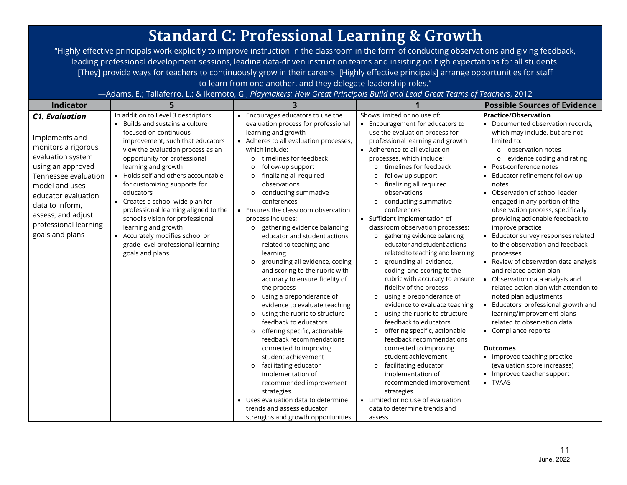## **Standard C: Professional Learning & Growth**

"Highly effective principals work explicitly to improve instruction in the classroom in the form of conducting observations and giving feedback, leading professional development sessions, leading data-driven instruction teams and insisting on high expectations for all students. [They] provide ways for teachers to continuously grow in their careers. [Highly effective principals] arrange opportunities for staff to learn from one another, and they delegate leadership roles."

—Adams, E.; Taliaferro, L.; & Ikemoto, G., *Playmakers: How Great Principals Build and Lead Great Teams of Teachers*, 2012

| <b>Indicator</b>                                                                                                                                                                                                                                               | 5                                                                                                                                                                                                                                                                                                                                                                                                                                                                                                                                                 | 3                                                                                                                                                                                                                                                                                                                                                                                                                                                                                                                                                                                                                                                                                                                                                                                                                                                                                                                                                |                                                                                                                                                                                                                                                                                                                                                                                                                                                                                                                                                                                                                                                                                                                                                                                                                                                                                                                                                                                                                   | <b>Possible Sources of Evidence</b>                                                                                                                                                                                                                                                                                                                                                                                                                                                                                                                                                                                                                                                                                                                                                                                                                                                                                |
|----------------------------------------------------------------------------------------------------------------------------------------------------------------------------------------------------------------------------------------------------------------|---------------------------------------------------------------------------------------------------------------------------------------------------------------------------------------------------------------------------------------------------------------------------------------------------------------------------------------------------------------------------------------------------------------------------------------------------------------------------------------------------------------------------------------------------|--------------------------------------------------------------------------------------------------------------------------------------------------------------------------------------------------------------------------------------------------------------------------------------------------------------------------------------------------------------------------------------------------------------------------------------------------------------------------------------------------------------------------------------------------------------------------------------------------------------------------------------------------------------------------------------------------------------------------------------------------------------------------------------------------------------------------------------------------------------------------------------------------------------------------------------------------|-------------------------------------------------------------------------------------------------------------------------------------------------------------------------------------------------------------------------------------------------------------------------------------------------------------------------------------------------------------------------------------------------------------------------------------------------------------------------------------------------------------------------------------------------------------------------------------------------------------------------------------------------------------------------------------------------------------------------------------------------------------------------------------------------------------------------------------------------------------------------------------------------------------------------------------------------------------------------------------------------------------------|--------------------------------------------------------------------------------------------------------------------------------------------------------------------------------------------------------------------------------------------------------------------------------------------------------------------------------------------------------------------------------------------------------------------------------------------------------------------------------------------------------------------------------------------------------------------------------------------------------------------------------------------------------------------------------------------------------------------------------------------------------------------------------------------------------------------------------------------------------------------------------------------------------------------|
| <b>C1. Evaluation</b><br>Implements and<br>monitors a rigorous<br>evaluation system<br>using an approved<br>Tennessee evaluation<br>model and uses<br>educator evaluation<br>data to inform,<br>assess, and adjust<br>professional learning<br>goals and plans | In addition to Level 3 descriptors:<br>Builds and sustains a culture<br>focused on continuous<br>improvement, such that educators<br>view the evaluation process as an<br>opportunity for professional<br>learning and growth<br>Holds self and others accountable<br>for customizing supports for<br>educators<br>• Creates a school-wide plan for<br>professional learning aligned to the<br>school's vision for professional<br>learning and growth<br>• Accurately modifies school or<br>grade-level professional learning<br>goals and plans | Encourages educators to use the<br>evaluation process for professional<br>learning and growth<br>Adheres to all evaluation processes,<br>which include:<br>timelines for feedback<br>$\circ$<br>follow-up support<br>$\circ$<br>finalizing all required<br>observations<br>conducting summative<br>$\circ$<br>conferences<br>Ensures the classroom observation<br>process includes:<br>gathering evidence balancing<br>$\circ$<br>educator and student actions<br>related to teaching and<br>learning<br>grounding all evidence, coding,<br>$\circ$<br>and scoring to the rubric with<br>accuracy to ensure fidelity of<br>the process<br>using a preponderance of<br>$\circ$<br>evidence to evaluate teaching<br>using the rubric to structure<br>$\circ$<br>feedback to educators<br>offering specific, actionable<br>$\circ$<br>feedback recommendations<br>connected to improving<br>student achievement<br>facilitating educator<br>$\circ$ | Shows limited or no use of:<br>• Encouragement for educators to<br>use the evaluation process for<br>professional learning and growth<br>• Adherence to all evaluation<br>processes, which include:<br>timelines for feedback<br>$\circ$<br>follow-up support<br>$\Omega$<br>finalizing all required<br>$\circ$<br>observations<br>conducting summative<br>$\circ$<br>conferences<br>• Sufficient implementation of<br>classroom observation processes:<br>gathering evidence balancing<br>$\circ$<br>educator and student actions<br>related to teaching and learning<br>grounding all evidence,<br>$\circ$<br>coding, and scoring to the<br>rubric with accuracy to ensure<br>fidelity of the process<br>using a preponderance of<br>$\circ$<br>evidence to evaluate teaching<br>using the rubric to structure<br>$\circ$<br>feedback to educators<br>offering specific, actionable<br>$\circ$<br>feedback recommendations<br>connected to improving<br>student achievement<br>facilitating educator<br>$\circ$ | <b>Practice/Observation</b><br>• Documented observation records,<br>which may include, but are not<br>limited to:<br>observation notes<br>$\Omega$<br>evidence coding and rating<br>$\circ$<br>Post-conference notes<br>Educator refinement follow-up<br>notes<br>Observation of school leader<br>$\bullet$<br>engaged in any portion of the<br>observation process, specifically<br>providing actionable feedback to<br>improve practice<br>Educator survey responses related<br>to the observation and feedback<br>processes<br>Review of observation data analysis<br>and related action plan<br>Observation data analysis and<br>related action plan with attention to<br>noted plan adjustments<br>Educators' professional growth and<br>learning/improvement plans<br>related to observation data<br>• Compliance reports<br><b>Outcomes</b><br>• Improved teaching practice<br>(evaluation score increases) |
|                                                                                                                                                                                                                                                                |                                                                                                                                                                                                                                                                                                                                                                                                                                                                                                                                                   | implementation of<br>recommended improvement<br>strategies<br>Uses evaluation data to determine<br>trends and assess educator<br>strengths and growth opportunities                                                                                                                                                                                                                                                                                                                                                                                                                                                                                                                                                                                                                                                                                                                                                                              | implementation of<br>recommended improvement<br>strategies<br>Limited or no use of evaluation<br>$\bullet$<br>data to determine trends and<br>assess                                                                                                                                                                                                                                                                                                                                                                                                                                                                                                                                                                                                                                                                                                                                                                                                                                                              | Improved teacher support<br>$\bullet$<br>• TVAAS                                                                                                                                                                                                                                                                                                                                                                                                                                                                                                                                                                                                                                                                                                                                                                                                                                                                   |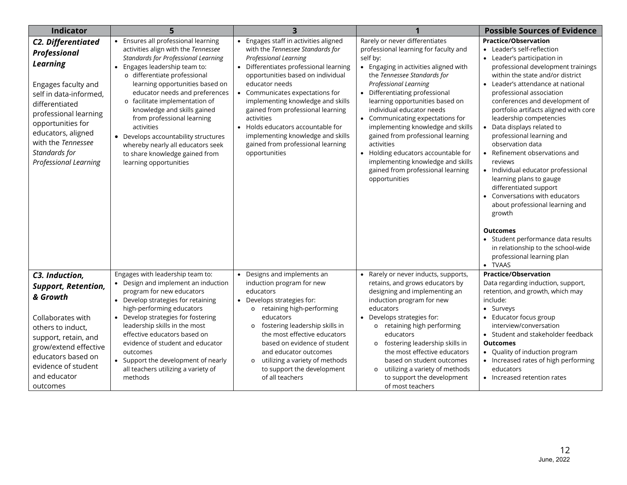| <b>Indicator</b>                                                                                                                                                                                                                                             |                                                                                                                                                                                                                                                                                                                                                                                                                                                                                                                    |                                                                                                                                                                                                                                                                                                                                                                                                                                                        |                                                                                                                                                                                                                                                                                                                                                                                                                                                                                                                                                  | <b>Possible Sources of Evidence</b>                                                                                                                                                                                                                                                                                                                                                                                                                                                                                                                                                                                                                                                                                                                                          |
|--------------------------------------------------------------------------------------------------------------------------------------------------------------------------------------------------------------------------------------------------------------|--------------------------------------------------------------------------------------------------------------------------------------------------------------------------------------------------------------------------------------------------------------------------------------------------------------------------------------------------------------------------------------------------------------------------------------------------------------------------------------------------------------------|--------------------------------------------------------------------------------------------------------------------------------------------------------------------------------------------------------------------------------------------------------------------------------------------------------------------------------------------------------------------------------------------------------------------------------------------------------|--------------------------------------------------------------------------------------------------------------------------------------------------------------------------------------------------------------------------------------------------------------------------------------------------------------------------------------------------------------------------------------------------------------------------------------------------------------------------------------------------------------------------------------------------|------------------------------------------------------------------------------------------------------------------------------------------------------------------------------------------------------------------------------------------------------------------------------------------------------------------------------------------------------------------------------------------------------------------------------------------------------------------------------------------------------------------------------------------------------------------------------------------------------------------------------------------------------------------------------------------------------------------------------------------------------------------------------|
| C2. Differentiated<br>Professional<br><b>Learning</b><br>Engages faculty and<br>self in data-informed,<br>differentiated<br>professional learning<br>opportunities for<br>educators, aligned<br>with the Tennessee<br>Standards for<br>Professional Learning | • Ensures all professional learning<br>activities align with the Tennessee<br><b>Standards for Professional Learning</b><br>Engages leadership team to:<br>o differentiate professional<br>learning opportunities based on<br>educator needs and preferences<br>o facilitate implementation of<br>knowledge and skills gained<br>from professional learning<br>activities<br>• Develops accountability structures<br>whereby nearly all educators seek<br>to share knowledge gained from<br>learning opportunities | Engages staff in activities aligned<br>with the Tennessee Standards for<br>Professional Learning<br>Differentiates professional learning<br>opportunities based on individual<br>educator needs<br>Communicates expectations for<br>implementing knowledge and skills<br>gained from professional learning<br>activities<br>Holds educators accountable for<br>implementing knowledge and skills<br>gained from professional learning<br>opportunities | Rarely or never differentiates<br>professional learning for faculty and<br>self by:<br>Engaging in activities aligned with<br>the Tennessee Standards for<br>Professional Learning<br>Differentiating professional<br>learning opportunities based on<br>individual educator needs<br>• Communicating expectations for<br>implementing knowledge and skills<br>gained from professional learning<br>activities<br>• Holding educators accountable for<br>implementing knowledge and skills<br>gained from professional learning<br>opportunities | <b>Practice/Observation</b><br>• Leader's self-reflection<br>Leader's participation in<br>professional development trainings<br>within the state and/or district<br>• Leader's attendance at national<br>professional association<br>conferences and development of<br>portfolio artifacts aligned with core<br>leadership competencies<br>Data displays related to<br>professional learning and<br>observation data<br>Refinement observations and<br>reviews<br>Individual educator professional<br>learning plans to gauge<br>differentiated support<br>Conversations with educators<br>about professional learning and<br>growth<br><b>Outcomes</b><br>• Student performance data results<br>in relationship to the school-wide<br>professional learning plan<br>• TVAAS |
| C3. Induction,<br><b>Support, Retention,</b><br>& Growth<br>Collaborates with<br>others to induct,<br>support, retain, and<br>grow/extend effective<br>educators based on<br>evidence of student<br>and educator<br>outcomes                                 | Engages with leadership team to:<br>Design and implement an induction<br>program for new educators<br>• Develop strategies for retaining<br>high-performing educators<br>Develop strategies for fostering<br>leadership skills in the most<br>effective educators based on<br>evidence of student and educator<br>outcomes<br>Support the development of nearly<br>all teachers utilizing a variety of<br>methods                                                                                                  | Designs and implements an<br>$\bullet$<br>induction program for new<br>educators<br>• Develops strategies for:<br>o retaining high-performing<br>educators<br>fostering leadership skills in<br>$\circ$<br>the most effective educators<br>based on evidence of student<br>and educator outcomes<br>utilizing a variety of methods<br>to support the development<br>of all teachers                                                                    | Rarely or never inducts, supports,<br>$\bullet$<br>retains, and grows educators by<br>designing and implementing an<br>induction program for new<br>educators<br>• Develops strategies for:<br>retaining high performing<br>$\circ$<br>educators<br>fostering leadership skills in<br>$\circ$<br>the most effective educators<br>based on student outcomes<br>utilizing a variety of methods<br>$\circ$<br>to support the development<br>of most teachers                                                                                        | <b>Practice/Observation</b><br>Data regarding induction, support,<br>retention, and growth, which may<br>include:<br>• Surveys<br>Educator focus group<br>interview/conversation<br>• Student and stakeholder feedback<br><b>Outcomes</b><br>• Quality of induction program<br>Increased rates of high performing<br>educators<br>• Increased retention rates                                                                                                                                                                                                                                                                                                                                                                                                                |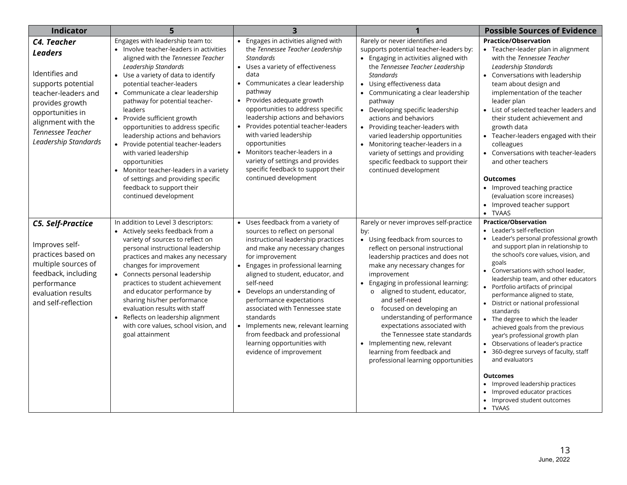| <b>Indicator</b>                                                                                                                                                                                       | 5                                                                                                                                                                                                                                                                                                                                                                                                                                                                                                                                                                                                                              | 3                                                                                                                                                                                                                                                                                                                                                                                                                                                                                                                                               |                                                                                                                                                                                                                                                                                                                                                                                                                                                                                                                                                     | <b>Possible Sources of Evidence</b>                                                                                                                                                                                                                                                                                                                                                                                                                                                                                                                                                                                                                                                                                                                   |
|--------------------------------------------------------------------------------------------------------------------------------------------------------------------------------------------------------|--------------------------------------------------------------------------------------------------------------------------------------------------------------------------------------------------------------------------------------------------------------------------------------------------------------------------------------------------------------------------------------------------------------------------------------------------------------------------------------------------------------------------------------------------------------------------------------------------------------------------------|-------------------------------------------------------------------------------------------------------------------------------------------------------------------------------------------------------------------------------------------------------------------------------------------------------------------------------------------------------------------------------------------------------------------------------------------------------------------------------------------------------------------------------------------------|-----------------------------------------------------------------------------------------------------------------------------------------------------------------------------------------------------------------------------------------------------------------------------------------------------------------------------------------------------------------------------------------------------------------------------------------------------------------------------------------------------------------------------------------------------|-------------------------------------------------------------------------------------------------------------------------------------------------------------------------------------------------------------------------------------------------------------------------------------------------------------------------------------------------------------------------------------------------------------------------------------------------------------------------------------------------------------------------------------------------------------------------------------------------------------------------------------------------------------------------------------------------------------------------------------------------------|
| C4. Teacher<br><b>Leaders</b><br>Identifies and<br>supports potential<br>teacher-leaders and<br>provides growth<br>opportunities in<br>alignment with the<br>Tennessee Teacher<br>Leadership Standards | Engages with leadership team to:<br>• Involve teacher-leaders in activities<br>aligned with the Tennessee Teacher<br>Leadership Standards<br>• Use a variety of data to identify<br>potential teacher-leaders<br>• Communicate a clear leadership<br>pathway for potential teacher-<br>leaders<br>• Provide sufficient growth<br>opportunities to address specific<br>leadership actions and behaviors<br>• Provide potential teacher-leaders<br>with varied leadership<br>opportunities<br>• Monitor teacher-leaders in a variety<br>of settings and providing specific<br>feedback to support their<br>continued development | • Engages in activities aligned with<br>the Tennessee Teacher Leadership<br><b>Standards</b><br>• Uses a variety of effectiveness<br>data<br>• Communicates a clear leadership<br>pathway<br>Provides adequate growth<br>$\bullet$<br>opportunities to address specific<br>leadership actions and behaviors<br>Provides potential teacher-leaders<br>$\bullet$<br>with varied leadership<br>opportunities<br>• Monitors teacher-leaders in a<br>variety of settings and provides<br>specific feedback to support their<br>continued development | Rarely or never identifies and<br>supports potential teacher-leaders by:<br>• Engaging in activities aligned with<br>the Tennessee Teacher Leadership<br><b>Standards</b><br>• Using effectiveness data<br>• Communicating a clear leadership<br>pathway<br>Developing specific leadership<br>actions and behaviors<br>Providing teacher-leaders with<br>varied leadership opportunities<br>• Monitoring teacher-leaders in a<br>variety of settings and providing<br>specific feedback to support their<br>continued development                   | <b>Practice/Observation</b><br>Teacher-leader plan in alignment<br>with the Tennessee Teacher<br>Leadership Standards<br>Conversations with leadership<br>team about design and<br>implementation of the teacher<br>leader plan<br>• List of selected teacher leaders and<br>their student achievement and<br>growth data<br>Teacher-leaders engaged with their<br>colleagues<br>Conversations with teacher-leaders<br>and other teachers<br><b>Outcomes</b><br>• Improved teaching practice<br>(evaluation score increases)<br>Improved teacher support<br>$\bullet$<br>• TVAAS                                                                                                                                                                      |
| <b>C5. Self-Practice</b><br>Improves self-<br>practices based on<br>multiple sources of<br>feedback, including<br>performance<br>evaluation results<br>and self-reflection                             | In addition to Level 3 descriptors:<br>Actively seeks feedback from a<br>variety of sources to reflect on<br>personal instructional leadership<br>practices and makes any necessary<br>changes for improvement<br>• Connects personal leadership<br>practices to student achievement<br>and educator performance by<br>sharing his/her performance<br>evaluation results with staff<br>Reflects on leadership alignment<br>$\bullet$<br>with core values, school vision, and<br>goal attainment                                                                                                                                | • Uses feedback from a variety of<br>sources to reflect on personal<br>instructional leadership practices<br>and make any necessary changes<br>for improvement<br>• Engages in professional learning<br>aligned to student, educator, and<br>self-need<br>• Develops an understanding of<br>performance expectations<br>associated with Tennessee state<br>standards<br>• Implements new, relevant learning<br>from feedback and professional<br>learning opportunities with<br>evidence of improvement                                         | Rarely or never improves self-practice<br>by:<br>• Using feedback from sources to<br>reflect on personal instructional<br>leadership practices and does not<br>make any necessary changes for<br>improvement<br>Engaging in professional learning:<br>o aligned to student, educator,<br>and self-need<br>focused on developing an<br>$\circ$<br>understanding of performance<br>expectations associated with<br>the Tennessee state standards<br>• Implementing new, relevant<br>learning from feedback and<br>professional learning opportunities | <b>Practice/Observation</b><br>Leader's self-reflection<br>• Leader's personal professional growth<br>and support plan in relationship to<br>the school's core values, vision, and<br>goals<br>• Conversations with school leader,<br>leadership team, and other educators<br>Portfolio artifacts of principal<br>performance aligned to state,<br>• District or national professional<br>standards<br>The degree to which the leader<br>achieved goals from the previous<br>year's professional growth plan<br>Observations of leader's practice<br>360-degree surveys of faculty, staff<br>and evaluators<br><b>Outcomes</b><br>• Improved leadership practices<br>Improved educator practices<br>Improved student outcomes<br>$\bullet$<br>• TVAAS |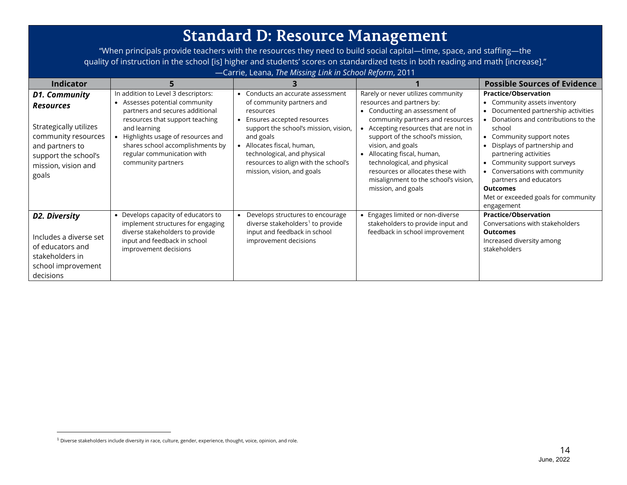## <span id="page-12-0"></span>**Standard D: Resource Management**

"When principals provide teachers with the resources they need to build social capital—time, space, and staffing—the quality of instruction in the school [is] higher and students' scores on standardized tests in both reading and math [increase]." —Carrie, Leana, *The Missing Link in School Reform*, 2011

| <b>Indicator</b>                                                                                                                                                     |                                                                                                                                                                                                                                                                                        |                                                                                                                                                                                                                                                                                                               |                                                                                                                                                                                                                                                                                                                                                                                                    | <b>Possible Sources of Evidence</b>                                                                                                                                                                                                                                                                                                                                                                           |
|----------------------------------------------------------------------------------------------------------------------------------------------------------------------|----------------------------------------------------------------------------------------------------------------------------------------------------------------------------------------------------------------------------------------------------------------------------------------|---------------------------------------------------------------------------------------------------------------------------------------------------------------------------------------------------------------------------------------------------------------------------------------------------------------|----------------------------------------------------------------------------------------------------------------------------------------------------------------------------------------------------------------------------------------------------------------------------------------------------------------------------------------------------------------------------------------------------|---------------------------------------------------------------------------------------------------------------------------------------------------------------------------------------------------------------------------------------------------------------------------------------------------------------------------------------------------------------------------------------------------------------|
| <b>D1. Community</b><br><b>Resources</b><br>Strategically utilizes<br>community resources<br>and partners to<br>support the school's<br>mission, vision and<br>goals | In addition to Level 3 descriptors:<br>Assesses potential community<br>partners and secures additional<br>resources that support teaching<br>and learning<br>Highlights usage of resources and<br>shares school accomplishments by<br>regular communication with<br>community partners | Conducts an accurate assessment<br>$\bullet$<br>of community partners and<br>resources<br>Ensures accepted resources<br>support the school's mission, vision,<br>and goals<br>• Allocates fiscal, human,<br>technological, and physical<br>resources to align with the school's<br>mission, vision, and goals | Rarely or never utilizes community<br>resources and partners by:<br>Conducting an assessment of<br>community partners and resources<br>Accepting resources that are not in<br>support of the school's mission,<br>vision, and goals<br>Allocating fiscal, human,<br>technological, and physical<br>resources or allocates these with<br>misalignment to the school's vision,<br>mission, and goals | <b>Practice/Observation</b><br>Community assets inventory<br>Documented partnership activities<br>$\bullet$<br>Donations and contributions to the<br>school<br>Community support notes<br>Displays of partnership and<br>partnering activities<br>Community support surveys<br>Conversations with community<br>partners and educators<br><b>Outcomes</b><br>Met or exceeded goals for community<br>engagement |
| D2. Diversity<br>Includes a diverse set<br>of educators and<br>stakeholders in<br>school improvement<br>decisions                                                    | • Develops capacity of educators to<br>implement structures for engaging<br>diverse stakeholders to provide<br>input and feedback in school<br>improvement decisions                                                                                                                   | Develops structures to encourage<br>diverse stakeholders <sup>1</sup> to provide<br>input and feedback in school<br>improvement decisions                                                                                                                                                                     | Engages limited or non-diverse<br>stakeholders to provide input and<br>feedback in school improvement                                                                                                                                                                                                                                                                                              | <b>Practice/Observation</b><br>Conversations with stakeholders<br><b>Outcomes</b><br>Increased diversity among<br>stakeholders                                                                                                                                                                                                                                                                                |

 $1$  Diverse stakeholders include diversity in race, culture, gender, experience, thought, voice, opinion, and role.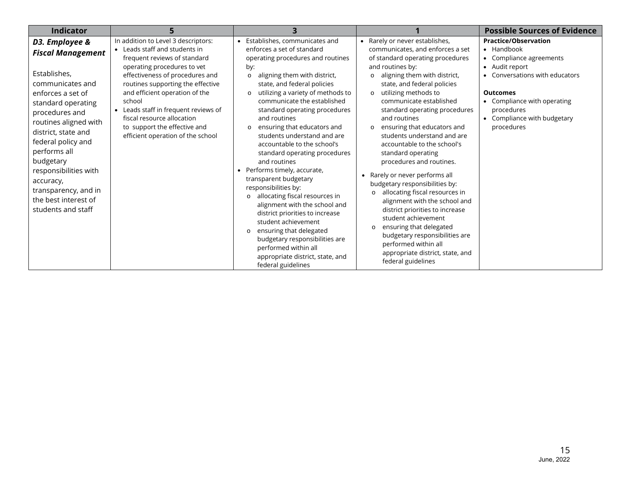| <b>Indicator</b>                                                                                                                                                                                                                                                                                                                                           |                                                                                                                                                                                                                                                                                                                                                                                                  |                                                                                                                                                                                                                                                                                                                                                                                                                                                                                                                                                                                                                                                                                                                                                                                                                                                       |                                                                                                                                                                                                                                                                                                                                                                                                                                                                                                                                                                                                                                                                                                                                                                                                                               | <b>Possible Sources of Evidence</b>                                                                                                                                                                                                        |
|------------------------------------------------------------------------------------------------------------------------------------------------------------------------------------------------------------------------------------------------------------------------------------------------------------------------------------------------------------|--------------------------------------------------------------------------------------------------------------------------------------------------------------------------------------------------------------------------------------------------------------------------------------------------------------------------------------------------------------------------------------------------|-------------------------------------------------------------------------------------------------------------------------------------------------------------------------------------------------------------------------------------------------------------------------------------------------------------------------------------------------------------------------------------------------------------------------------------------------------------------------------------------------------------------------------------------------------------------------------------------------------------------------------------------------------------------------------------------------------------------------------------------------------------------------------------------------------------------------------------------------------|-------------------------------------------------------------------------------------------------------------------------------------------------------------------------------------------------------------------------------------------------------------------------------------------------------------------------------------------------------------------------------------------------------------------------------------------------------------------------------------------------------------------------------------------------------------------------------------------------------------------------------------------------------------------------------------------------------------------------------------------------------------------------------------------------------------------------------|--------------------------------------------------------------------------------------------------------------------------------------------------------------------------------------------------------------------------------------------|
| D3. Employee &<br><b>Fiscal Management</b><br>Establishes,<br>communicates and<br>enforces a set of<br>standard operating<br>procedures and<br>routines aligned with<br>district, state and<br>federal policy and<br>performs all<br>budgetary<br>responsibilities with<br>accuracy,<br>transparency, and in<br>the best interest of<br>students and staff | In addition to Level 3 descriptors:<br>• Leads staff and students in<br>frequent reviews of standard<br>operating procedures to vet<br>effectiveness of procedures and<br>routines supporting the effective<br>and efficient operation of the<br>school<br>Leads staff in frequent reviews of<br>fiscal resource allocation<br>to support the effective and<br>efficient operation of the school | • Establishes, communicates and<br>enforces a set of standard<br>operating procedures and routines<br>by:<br>aligning them with district,<br>$\circ$<br>state, and federal policies<br>utilizing a variety of methods to<br>$\Omega$<br>communicate the established<br>standard operating procedures<br>and routines<br>ensuring that educators and<br>students understand and are<br>accountable to the school's<br>standard operating procedures<br>and routines<br>• Performs timely, accurate,<br>transparent budgetary<br>responsibilities by:<br>allocating fiscal resources in<br>$\circ$<br>alignment with the school and<br>district priorities to increase<br>student achievement<br>ensuring that delegated<br>$\circ$<br>budgetary responsibilities are<br>performed within all<br>appropriate district, state, and<br>federal guidelines | • Rarely or never establishes,<br>communicates, and enforces a set<br>of standard operating procedures<br>and routines by:<br>aligning them with district,<br>state, and federal policies<br>utilizing methods to<br>$\circ$<br>communicate established<br>standard operating procedures<br>and routines<br>ensuring that educators and<br>students understand and are<br>accountable to the school's<br>standard operating<br>procedures and routines.<br>• Rarely or never performs all<br>budgetary responsibilities by:<br>allocating fiscal resources in<br>$\circ$<br>alignment with the school and<br>district priorities to increase<br>student achievement<br>ensuring that delegated<br>$\circ$<br>budgetary responsibilities are<br>performed within all<br>appropriate district, state, and<br>federal guidelines | <b>Practice/Observation</b><br>• Handbook<br>Compliance agreements<br>$\bullet$<br>Audit report<br>Conversations with educators<br><b>Outcomes</b><br>• Compliance with operating<br>procedures<br>Compliance with budgetary<br>procedures |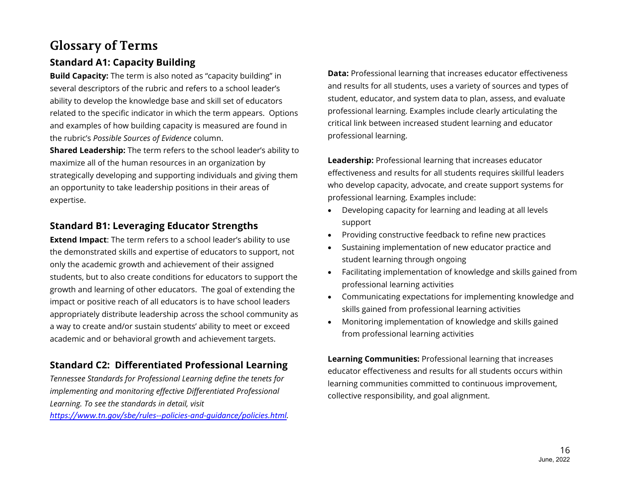## **Glossary of Terms**

## **Standard A1: Capacity Building**

**Build Capacity:** The term is also noted as "capacity building" in several descriptors of the rubric and refers to a school leader's ability to develop the knowledge base and skill set of educators related to the specific indicator in which the term appears. Options and examples of how building capacity is measured are found in the rubric's *Possible Sources of Evidence* column.

**Shared Leadership:** The term refers to the school leader's ability to maximize all of the human resources in an organization by strategically developing and supporting individuals and giving them an opportunity to take leadership positions in their areas of expertise.

## **Standard B1: Leveraging Educator Strengths**

**Extend Impact**: The term refers to a school leader's ability to use the demonstrated skills and expertise of educators to support, not only the academic growth and achievement of their assigned students, but to also create conditions for educators to support the growth and learning of other educators. The goal of extending the impact or positive reach of all educators is to have school leaders appropriately distribute leadership across the school community as a way to create and/or sustain students' ability to meet or exceed academic and or behavioral growth and achievement targets.

## **Standard C2: Differentiated Professional Learning**

*Tennessee Standards for Professional Learning define the tenets for implementing and monitoring effective Differentiated Professional Learning. To see the standards in detail, visit*

*[https://www.tn.gov/sbe/rules--policies-and-guidance/policies.html.](https://www.tn.gov/sbe/rules--policies-and-guidance/policies.html)* 

**Data:** Professional learning that increases educator effectiveness and results for all students, uses a variety of sources and types of student, educator, and system data to plan, assess, and evaluate professional learning. Examples include clearly articulating the critical link between increased student learning and educator professional learning.

**Leadership:** Professional learning that increases educator effectiveness and results for all students requires skillful leaders who develop capacity, advocate, and create support systems for professional learning. Examples include:

- Developing capacity for learning and leading at all levels support
- Providing constructive feedback to refine new practices
- Sustaining implementation of new educator practice and student learning through ongoing
- Facilitating implementation of knowledge and skills gained from professional learning activities
- Communicating expectations for implementing knowledge and skills gained from professional learning activities
- Monitoring implementation of knowledge and skills gained from professional learning activities

**Learning Communities:** Professional learning that increases educator effectiveness and results for all students occurs within learning communities committed to continuous improvement, collective responsibility, and goal alignment.